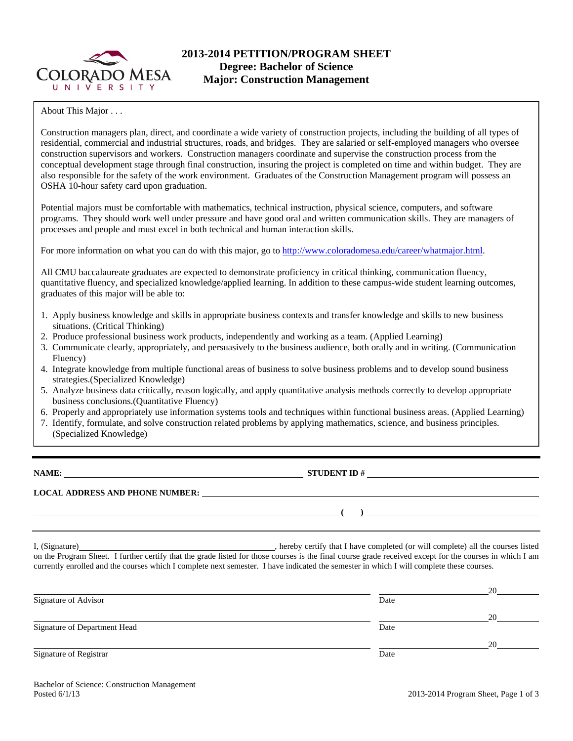

## **2013-2014 PETITION/PROGRAM SHEET Degree: Bachelor of Science Major: Construction Management**

About This Major . . .

Construction managers plan, direct, and coordinate a wide variety of construction projects, including the building of all types of residential, commercial and industrial structures, roads, and bridges. They are salaried or self-employed managers who oversee construction supervisors and workers. Construction managers coordinate and supervise the construction process from the conceptual development stage through final construction, insuring the project is completed on time and within budget. They are also responsible for the safety of the work environment. Graduates of the Construction Management program will possess an OSHA 10-hour safety card upon graduation.

Potential majors must be comfortable with mathematics, technical instruction, physical science, computers, and software programs. They should work well under pressure and have good oral and written communication skills. They are managers of processes and people and must excel in both technical and human interaction skills.

For more information on what you can do with this major, go to http://www.coloradomesa.edu/career/whatmajor.html.

quantitative fluency, and specialized knowledge/applied learning. In addition to these campus-wide student learning outcomes, exponsibility to determine when when you have met the requirements for your degree. Please see the complete list of  $\mathbb{R}$ All CMU baccalaureate graduates are expected to demonstrate proficiency in critical thinking, communication fluency,

- 1. Apply business knowledge and skills in appropriate business contexts and transfer knowledge and skills to new business situations. (Critical Thinking)
- 2. Produce professional business work products, independently and working as a team. (Applied Learning)
- **Communicate clearly, appropriately, and persuasively to the business audience, both crally and** 3. Communicate clearly, appropriately, and persuasively to the business audience, both orally and in writing. (Communication Elisance) 5. Finally, the Department Head or the department administrative assistant will take the signed forms to the Registrar's Office. (Students cannot Fluency)
- 4. Integrate knowledge from multiple functional areas of business to solve business problems and to develop sound business  $\frac{1}{100}$  strategies.(Specialized Knowledge)
- 5. Analyze business data critically, reason logically, and apply quantitative analysis methods correctly to develop appropriate business conclusions. (Quantitative Fluency). The semi-vertext example  $\alpha$  and  $\alpha$  and  $\alpha$  are  $\alpha$
- 6. Properly and appropriately use information systems tools and techniques within functional business areas. (Applied Learning)
- 7. Identify, formulate, and solve construction related problems by applying mathematics, science, and business principles. (Specialized Knowledge)

**NAME: STUDENT ID # STUDENT ID # STUDENT ID # STUDENT ID # STUDENT ID # STUDENT ID # STUDENT ID # STUDENT ID # STUDENT ID # STUDENT 1D + STUDENT 1D + STUDENT 1D + STUDENT 1D + STUDENT 1D + STU** 

 **( )** 

**LOCAL ADDRESS AND PHONE NUMBER:**

I, (Signature) hereby certify that I have completed (or will complete) all the courses listed on the Program Sheet. I further certify that the grade listed for those courses is the final course grade received except for the courses in which I am currently enrolled and the courses which I complete next semester. I have indicated the semester in which I will complete these courses.

|                              |      | 20 |
|------------------------------|------|----|
| Signature of Advisor         | Date |    |
|                              |      | 20 |
| Signature of Department Head | Date |    |
|                              |      | 20 |
| Signature of Registrar       | Date |    |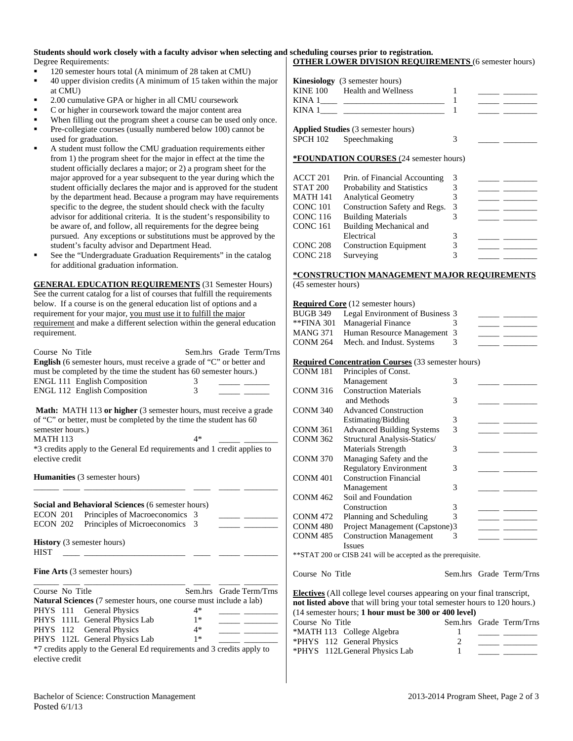#### **Students should work closely with a faculty advisor when selecting and scheduling courses prior to registration.** Degree Requirements: **OTHER LOWER DIVISION REQUIREMENTS** (6 semester hours)

- 120 semester hours total (A minimum of 28 taken at CMU)
- 40 upper division credits (A minimum of 15 taken within the major at CMU)
- 2.00 cumulative GPA or higher in all CMU coursework
- C or higher in coursework toward the major content area
- When filling out the program sheet a course can be used only once.
- Pre-collegiate courses (usually numbered below 100) cannot be used for graduation.
- A student must follow the CMU graduation requirements either from 1) the program sheet for the major in effect at the time the student officially declares a major; or 2) a program sheet for the major approved for a year subsequent to the year during which the student officially declares the major and is approved for the student by the department head. Because a program may have requirements specific to the degree, the student should check with the faculty advisor for additional criteria. It is the student's responsibility to be aware of, and follow, all requirements for the degree being pursued. Any exceptions or substitutions must be approved by the student's faculty advisor and Department Head.
- See the "Undergraduate Graduation Requirements" in the catalog for additional graduation information.

**GENERAL EDUCATION REQUIREMENTS** (31 Semester Hours) See the current catalog for a list of courses that fulfill the requirements below. If a course is on the general education list of options and a requirement for your major, you must use it to fulfill the major requirement and make a different selection within the general education requirement.

| Course No Title<br>English (6 semester hours, must receive a grade of "C" or better and<br>must be completed by the time the student has 60 semester hours.)<br><b>ENGL 111 English Composition</b><br>ENGL 112 English Composition | 3<br>3 | Sem.hrs Grade Term/Trns |
|-------------------------------------------------------------------------------------------------------------------------------------------------------------------------------------------------------------------------------------|--------|-------------------------|
| <b>Math:</b> MATH 113 or higher (3 semester hours, must receive a grade                                                                                                                                                             |        |                         |
| of "C" or better, must be completed by the time the student has 60                                                                                                                                                                  |        |                         |
| semester hours.)                                                                                                                                                                                                                    |        |                         |
| <b>MATH 113</b>                                                                                                                                                                                                                     | $4*$   |                         |
| *3 credits apply to the General Ed requirements and 1 credit applies to<br>elective credit                                                                                                                                          |        |                         |
|                                                                                                                                                                                                                                     |        |                         |
| <b>Humanities</b> (3 semester hours)                                                                                                                                                                                                |        |                         |
|                                                                                                                                                                                                                                     |        |                         |
|                                                                                                                                                                                                                                     |        |                         |
| Social and Behavioral Sciences (6 semester hours)                                                                                                                                                                                   |        |                         |
| ECON 201 Principles of Macroeconomics                                                                                                                                                                                               | 3      |                         |
| Principles of Microeconomics<br>ECON 202                                                                                                                                                                                            | 3      |                         |
| <b>History</b> (3 semester hours)                                                                                                                                                                                                   |        |                         |
| <b>HIST</b>                                                                                                                                                                                                                         |        |                         |
|                                                                                                                                                                                                                                     |        |                         |
| <b>Fine Arts</b> (3 semester hours)                                                                                                                                                                                                 |        |                         |
|                                                                                                                                                                                                                                     |        |                         |
| Course No Title                                                                                                                                                                                                                     |        | Sem.hrs Grade Term/Trns |
| <b>Natural Sciences</b> (7 semester hours, one course must include a lab)                                                                                                                                                           |        |                         |
| <b>General Physics</b><br>PHYS 111                                                                                                                                                                                                  | $4*$   |                         |
| PHYS 111L General Physics Lab                                                                                                                                                                                                       | $1*$   |                         |
| PHYS 112 General Physics                                                                                                                                                                                                            | $4*$   |                         |
| PHYS 112L General Physics Lab                                                                                                                                                                                                       | $1*$   |                         |
| *7 credits apply to the General Ed requirements and 3 credits apply to                                                                                                                                                              |        |                         |
| elective credit                                                                                                                                                                                                                     |        |                         |

| <b>Kinesiology</b> (3 semester hours)<br>KINE 100 Health and Wellness<br>KINA 1 |  |
|---------------------------------------------------------------------------------|--|
| <b>Applied Studies</b> (3 semester hours)<br>SPCH 102 Speechmaking              |  |

### **\*FOUNDATION COURSES** (24 semester hours)

| ACCT 201            | Prin. of Financial Accounting | 3 |  |
|---------------------|-------------------------------|---|--|
| <b>STAT 200</b>     | Probability and Statistics    |   |  |
| MATH 141            | <b>Analytical Geometry</b>    |   |  |
| CONC 101            | Construction Safety and Regs. | 3 |  |
| CONC 116            | <b>Building Materials</b>     |   |  |
| CONC 161            | Building Mechanical and       |   |  |
|                     | Electrical                    |   |  |
| CONC 208            | <b>Construction Equipment</b> |   |  |
| CONC <sub>218</sub> | Surveying                     |   |  |
|                     |                               |   |  |

# **\*CONSTRUCTION MANAGEMENT MAJOR REQUIREMENTS**

(45 semester hours)

|                 | <b>Required Core</b> (12 semester hours)                                        |               |                         |
|-----------------|---------------------------------------------------------------------------------|---------------|-------------------------|
| <b>BUGB 349</b> | Legal Environment of Business 3                                                 |               |                         |
| **FINA 301      | Managerial Finance                                                              | 3             |                         |
| <b>MANG 371</b> | Human Resource Management                                                       | 3             |                         |
| <b>CONM 264</b> | Mech. and Indust. Systems                                                       | 3             |                         |
|                 |                                                                                 |               |                         |
|                 | <b>Required Concentration Courses</b> (33 semester hours)                       |               |                         |
| <b>CONM 181</b> | Principles of Const.                                                            |               |                         |
|                 | Management                                                                      | 3             |                         |
| <b>CONM 316</b> | <b>Construction Materials</b>                                                   |               |                         |
|                 | and Methods                                                                     | 3             |                         |
| <b>CONM 340</b> | <b>Advanced Construction</b>                                                    |               |                         |
|                 | Estimating/Bidding                                                              | 3             |                         |
| <b>CONM 361</b> | <b>Advanced Building Systems</b>                                                | 3             |                         |
| <b>CONM 362</b> | Structural Analysis-Statics/                                                    |               |                         |
|                 | Materials Strength                                                              | 3             |                         |
| <b>CONM 370</b> | Managing Safety and the                                                         |               |                         |
|                 | <b>Regulatory Environment</b>                                                   | 3             |                         |
| <b>CONM 401</b> | <b>Construction Financial</b>                                                   |               |                         |
|                 | Management                                                                      | 3             |                         |
| <b>CONM 462</b> | Soil and Foundation                                                             |               |                         |
|                 | Construction                                                                    | 3             |                         |
| <b>CONM 472</b> | Planning and Scheduling                                                         | $\mathcal{R}$ |                         |
| <b>CONM 480</b> | Project Management (Capstone)3                                                  |               |                         |
| <b>CONM 485</b> | <b>Construction Management</b>                                                  | 3             |                         |
|                 | <b>Issues</b>                                                                   |               |                         |
|                 | ** STAT 200 or CISB 241 will be accepted as the prerequisite.                   |               |                         |
|                 |                                                                                 |               |                         |
| Course No Title |                                                                                 |               | Sem.hrs Grade Term/Trns |
|                 | <b>Electives</b> (All college level courses appearing on your final transcript, |               |                         |
|                 | not listed above that will bring your total semester hours to 120 hours.)       |               |                         |
|                 | (14 semester hours; 1 hour must be 300 or 400 level)                            |               |                         |

| Course No Title                |  | Sem.hrs Grade Term/Trns |
|--------------------------------|--|-------------------------|
| *MATH 113 College Algebra      |  |                         |
| *PHYS 112 General Physics      |  |                         |
| *PHYS 112L General Physics Lab |  |                         |